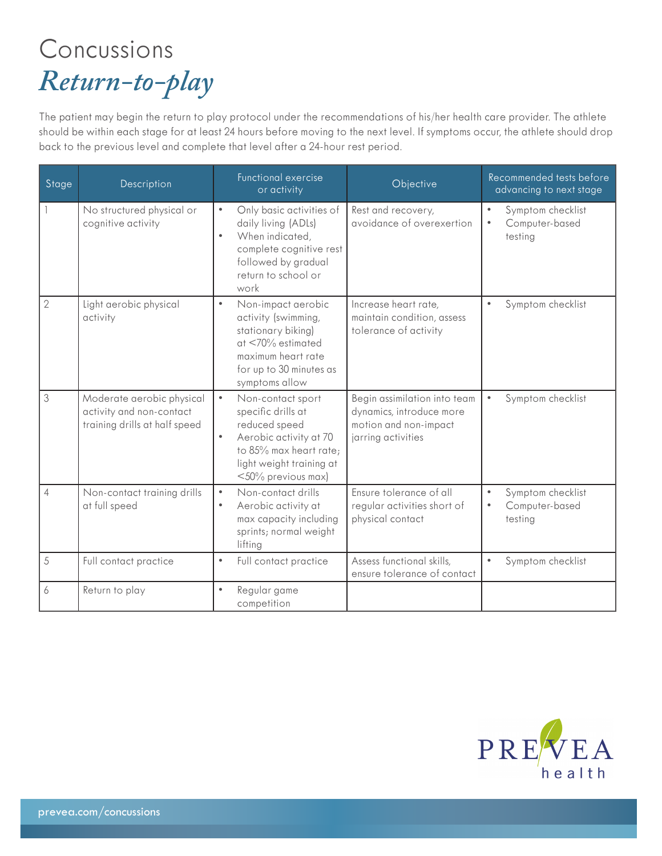## Concussions *Return-to-play*

The patient may begin the return to play protocol under the recommendations of his/her health care provider. The athlete should be within each stage for at least 24 hours before moving to the next level. If symptoms occur, the athlete should drop back to the previous level and complete that level after a 24-hour rest period.

| Stage          | Description                                                                            | Functional exercise<br>or activity                                                                                                                                                          | Objective                                                                                               | Recommended tests before<br>advancing to next stage                      |
|----------------|----------------------------------------------------------------------------------------|---------------------------------------------------------------------------------------------------------------------------------------------------------------------------------------------|---------------------------------------------------------------------------------------------------------|--------------------------------------------------------------------------|
|                | No structured physical or<br>cognitive activity                                        | $\bullet$<br>Only basic activities of<br>daily living (ADLs)<br>When indicated,<br>$\bullet$<br>complete cognitive rest<br>followed by gradual<br>return to school or<br>work               | Rest and recovery,<br>avoidance of overexertion                                                         | $\bullet$<br>Symptom checklist<br>Computer-based<br>$\bullet$<br>testing |
| $\overline{2}$ | Light aerobic physical<br>activity                                                     | Non-impact aerobic<br>$\bullet$<br>activity (swimming,<br>stationary biking)<br>$at < 70\%$ estimated<br>maximum heart rate<br>for up to 30 minutes as<br>symptoms allow                    | Increase heart rate,<br>maintain condition, assess<br>tolerance of activity                             | Symptom checklist<br>$\bullet$                                           |
| 3              | Moderate aerobic physical<br>activity and non-contact<br>training drills at half speed | $\bullet$<br>Non-contact sport<br>specific drills at<br>reduced speed<br>Aerobic activity at 70<br>$\bullet$<br>to 85% max heart rate;<br>light weight training at<br>$<$ 50% previous max) | Begin assimilation into team<br>dynamics, introduce more<br>motion and non-impact<br>jarring activities | Symptom checklist<br>$\bullet$                                           |
| $\overline{4}$ | Non-contact training drills<br>at full speed                                           | Non-contact drills<br>$\bullet$<br>Aerobic activity at<br>$\bullet$<br>max capacity including<br>sprints; normal weight<br>lifting                                                          | Ensure tolerance of all<br>regular activities short of<br>physical contact                              | Symptom checklist<br>$\bullet$<br>Computer-based<br>$\bullet$<br>testing |
| 5              | Full contact practice                                                                  | Full contact practice<br>$\bullet$                                                                                                                                                          | Assess functional skills,<br>ensure tolerance of contact                                                | Symptom checklist<br>$\bullet$                                           |
| 6              | Return to play                                                                         | Regular game<br>$\bullet$<br>competition                                                                                                                                                    |                                                                                                         |                                                                          |